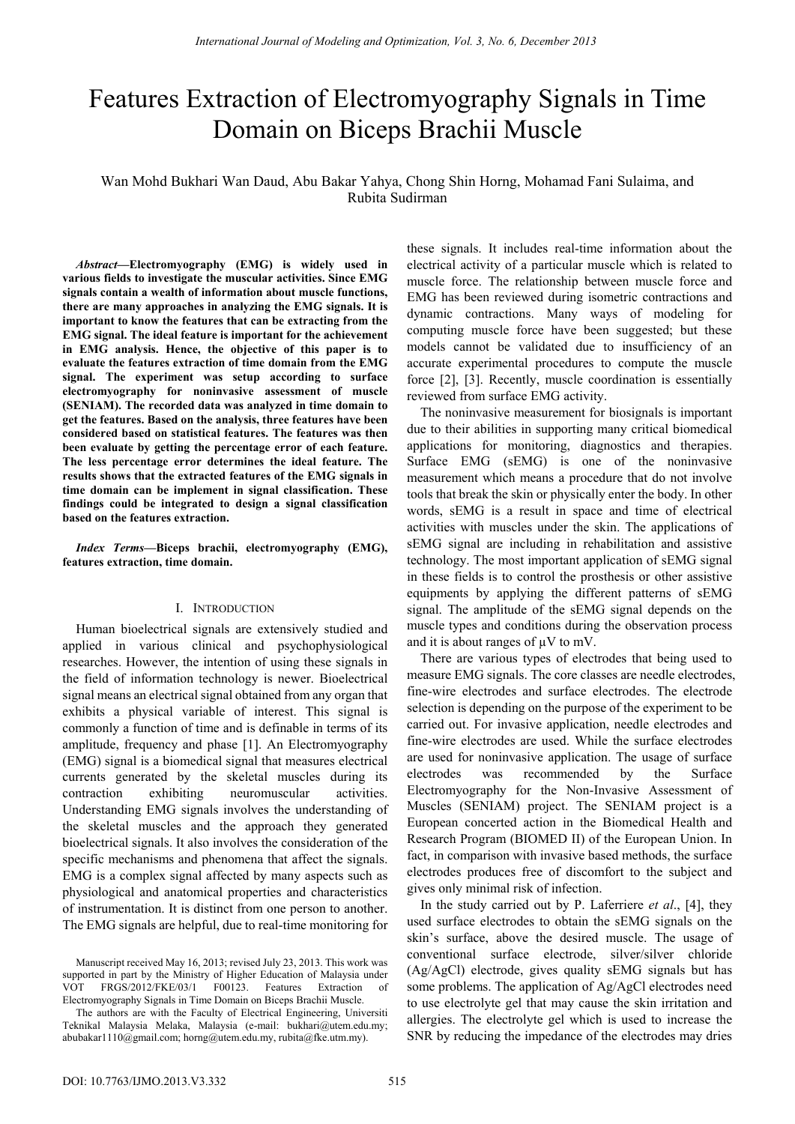# Features Extraction of Electromyography Signals in Time Domain on Biceps Brachii Muscle

Wan Mohd Bukhari Wan Daud, Abu Bakar Yahya, Chong Shin Horng, Mohamad Fani Sulaima, and Rubita Sudirman

*Abstract***—Electromyography (EMG) is widely used in various fields to investigate the muscular activities. Since EMG signals contain a wealth of information about muscle functions, there are many approaches in analyzing the EMG signals. It is important to know the features that can be extracting from the EMG signal. The ideal feature is important for the achievement in EMG analysis. Hence, the objective of this paper is to evaluate the features extraction of time domain from the EMG signal. The experiment was setup according to surface electromyography for noninvasive assessment of muscle (SENIAM). The recorded data was analyzed in time domain to get the features. Based on the analysis, three features have been considered based on statistical features. The features was then been evaluate by getting the percentage error of each feature. The less percentage error determines the ideal feature. The results shows that the extracted features of the EMG signals in time domain can be implement in signal classification. These findings could be integrated to design a signal classification based on the features extraction.** 

*Index Terms***—Biceps brachii, electromyography (EMG), features extraction, time domain.** 

# I. INTRODUCTION

Human bioelectrical signals are extensively studied and applied in various clinical and psychophysiological researches. However, the intention of using these signals in the field of information technology is newer. Bioelectrical signal means an electrical signal obtained from any organ that exhibits a physical variable of interest. This signal is commonly a function of time and is definable in terms of its amplitude, frequency and phase [1]. An Electromyography (EMG) signal is a biomedical signal that measures electrical currents generated by the skeletal muscles during its contraction exhibiting neuromuscular activities. Understanding EMG signals involves the understanding of the skeletal muscles and the approach they generated bioelectrical signals. It also involves the consideration of the specific mechanisms and phenomena that affect the signals. EMG is a complex signal affected by many aspects such as physiological and anatomical properties and characteristics of instrumentation. It is distinct from one person to another. The EMG signals are helpful, due to real-time monitoring for

The authors are with the Faculty of Electrical Engineering, Universiti Teknikal Malaysia Melaka, Malaysia (e-mail: bukhari@utem.edu.my; abubakar1110@gmail.com; horng@utem.edu.my, rubita@fke.utm.my).

these signals. It includes real-time information about the electrical activity of a particular muscle which is related to muscle force. The relationship between muscle force and EMG has been reviewed during isometric contractions and dynamic contractions. Many ways of modeling for computing muscle force have been suggested; but these models cannot be validated due to insufficiency of an accurate experimental procedures to compute the muscle force [2], [3]. Recently, muscle coordination is essentially reviewed from surface EMG activity.

The noninvasive measurement for biosignals is important due to their abilities in supporting many critical biomedical applications for monitoring, diagnostics and therapies. Surface EMG (sEMG) is one of the noninvasive measurement which means a procedure that do not involve tools that break the skin or physically enter the body. In other words, sEMG is a result in space and time of electrical activities with muscles under the skin. The applications of sEMG signal are including in rehabilitation and assistive technology. The most important application of sEMG signal in these fields is to control the prosthesis or other assistive equipments by applying the different patterns of sEMG signal. The amplitude of the sEMG signal depends on the muscle types and conditions during the observation process and it is about ranges of  $\mu$ V to mV.

There are various types of electrodes that being used to measure EMG signals. The core classes are needle electrodes, fine-wire electrodes and surface electrodes. The electrode selection is depending on the purpose of the experiment to be carried out. For invasive application, needle electrodes and fine-wire electrodes are used. While the surface electrodes are used for noninvasive application. The usage of surface electrodes was recommended by the Surface Electromyography for the Non-Invasive Assessment of Muscles (SENIAM) project. The SENIAM project is a European concerted action in the Biomedical Health and Research Program (BIOMED II) of the European Union. In fact, in comparison with invasive based methods, the surface electrodes produces free of discomfort to the subject and gives only minimal risk of infection.

In the study carried out by P. Laferriere *et al*., [4], they used surface electrodes to obtain the sEMG signals on the skin's surface, above the desired muscle. The usage of conventional surface electrode, silver/silver chloride (Ag/AgCl) electrode, gives quality sEMG signals but has some problems. The application of Ag/AgCl electrodes need to use electrolyte gel that may cause the skin irritation and allergies. The electrolyte gel which is used to increase the SNR by reducing the impedance of the electrodes may dries

Manuscript received May 16, 2013; revised July 23, 2013. This work was supported in part by the Ministry of Higher Education of Malaysia under VOT FRGS/2012/FKE/03/1 F00123. Features Extraction of Electromyography Signals in Time Domain on Biceps Brachii Muscle.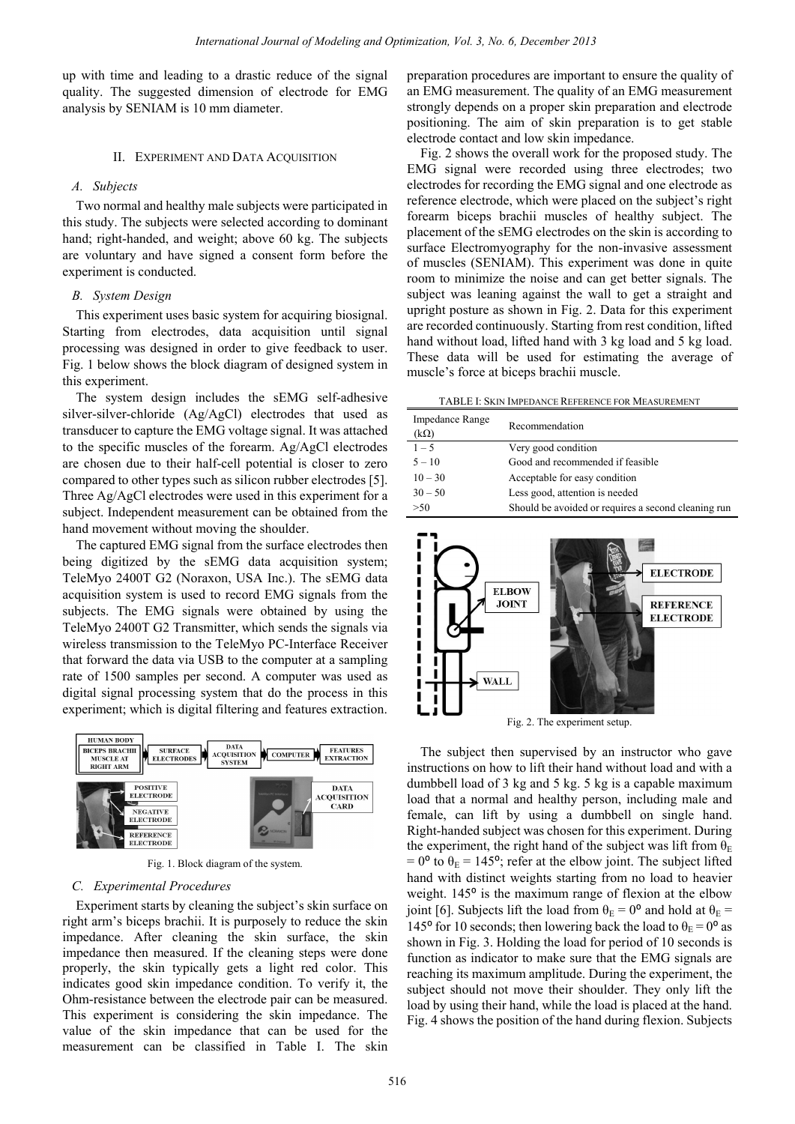up with time and leading to a drastic reduce of the signal quality. The suggested dimension of electrode for EMG analysis by SENIAM is 10 mm diameter.

#### II. EXPERIMENT AND DATA ACOUISITION

#### *A. Subjects*

Two normal and healthy male subjects were participated in this study. The subjects were selected according to dominant hand; right-handed, and weight; above 60 kg. The subjects are voluntary and have signed a consent form before the experiment is conducted.

## *B. System Design*

This experiment uses basic system for acquiring biosignal. Starting from electrodes, data acquisition until signal processing was designed in order to give feedback to user. Fig. 1 below shows the block diagram of designed system in this experiment.

The system design includes the sEMG self-adhesive silver-silver-chloride (Ag/AgCl) electrodes that used as transducer to capture the EMG voltage signal. It was attached to the specific muscles of the forearm. Ag/AgCl electrodes are chosen due to their half-cell potential is closer to zero compared to other types such as silicon rubber electrodes [5]. Three Ag/AgCl electrodes were used in this experiment for a subject. Independent measurement can be obtained from the hand movement without moving the shoulder.

The captured EMG signal from the surface electrodes then being digitized by the sEMG data acquisition system; TeleMyo 2400T G2 (Noraxon, USA Inc.). The sEMG data acquisition system is used to record EMG signals from the subjects. The EMG signals were obtained by using the TeleMyo 2400T G2 Transmitter, which sends the signals via wireless transmission to the TeleMyo PC-Interface Receiver that forward the data via USB to the computer at a sampling rate of 1500 samples per second. A computer was used as digital signal processing system that do the process in this experiment; which is digital filtering and features extraction.



Fig. 1. Block diagram of the system.

# *C. Experimental Procedures*

Experiment starts by cleaning the subject's skin surface on right arm's biceps brachii. It is purposely to reduce the skin impedance. After cleaning the skin surface, the skin impedance then measured. If the cleaning steps were done properly, the skin typically gets a light red color. This indicates good skin impedance condition. To verify it, the Ohm-resistance between the electrode pair can be measured. This experiment is considering the skin impedance. The value of the skin impedance that can be used for the measurement can be classified in Table I. The skin preparation procedures are important to ensure the quality of an EMG measurement. The quality of an EMG measurement strongly depends on a proper skin preparation and electrode positioning. The aim of skin preparation is to get stable electrode contact and low skin impedance.

Fig. 2 shows the overall work for the proposed study. The EMG signal were recorded using three electrodes; two electrodes for recording the EMG signal and one electrode as reference electrode, which were placed on the subject's right forearm biceps brachii muscles of healthy subject. The placement of the sEMG electrodes on the skin is according to surface Electromyography for the non-invasive assessment of muscles (SENIAM). This experiment was done in quite room to minimize the noise and can get better signals. The subject was leaning against the wall to get a straight and upright posture as shown in Fig. 2. Data for this experiment are recorded continuously. Starting from rest condition, lifted hand without load, lifted hand with 3 kg load and 5 kg load. These data will be used for estimating the average of muscle's force at biceps brachii muscle.

TABLE I: SKIN IMPEDANCE REFERENCE FOR MEASUREMENT

| Impedance Range<br>$(k\Omega)$ | Recommendation                                      |
|--------------------------------|-----------------------------------------------------|
| $1 - 5$                        | Very good condition                                 |
| $5 - 10$                       | Good and recommended if feasible                    |
| $10 - 30$                      | Acceptable for easy condition                       |
| $30 - 50$                      | Less good, attention is needed                      |
| >50                            | Should be avoided or requires a second cleaning run |



Fig. 2. The experiment setup.

The subject then supervised by an instructor who gave instructions on how to lift their hand without load and with a dumbbell load of 3 kg and 5 kg. 5 kg is a capable maximum load that a normal and healthy person, including male and female, can lift by using a dumbbell on single hand. Right-handed subject was chosen for this experiment. During the experiment, the right hand of the subject was lift from  $\theta_{\rm E}$ =  $0^{\circ}$  to  $\theta_{\rm E}$  = 145°; refer at the elbow joint. The subject lifted hand with distinct weights starting from no load to heavier weight. 145<sup>°</sup> is the maximum range of flexion at the elbow joint [6]. Subjects lift the load from  $\theta_{\rm E} = 0^{\circ}$  and hold at  $\theta_{\rm E} =$ 145 $\degree$  for 10 seconds; then lowering back the load to  $\theta_{\rm E} = 0^{\circ}$  as shown in Fig. 3. Holding the load for period of 10 seconds is function as indicator to make sure that the EMG signals are reaching its maximum amplitude. During the experiment, the subject should not move their shoulder. They only lift the load by using their hand, while the load is placed at the hand. Fig. 4 shows the position of the hand during flexion. Subjects *International observation* of Modeling and Optimization, 1961.3, No. 6, December 2013<br>
grows and personal personal personal of modeling and December 2013<br>
dimension of electrode for LinG an EMG measurement. The cuality<br>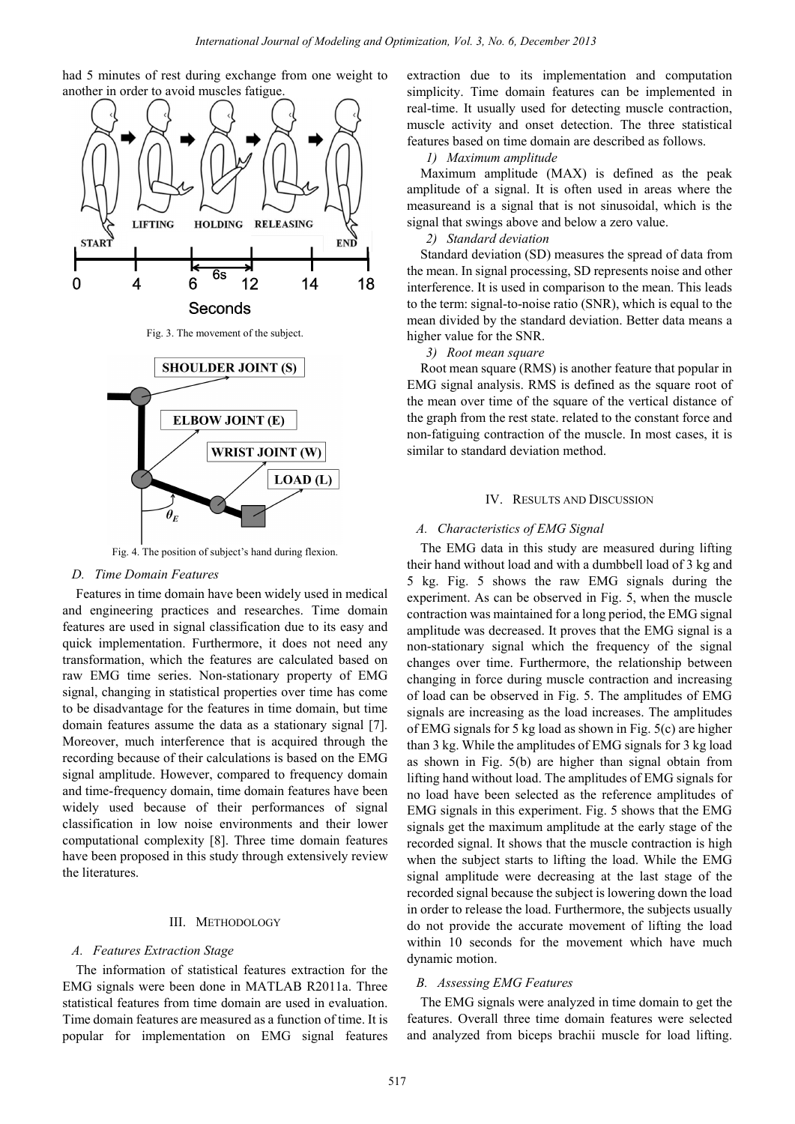



Fig. 4. The position of subject's hand during flexion.

#### *D. Time Domain Features*

Features in time domain have been widely used in medical and engineering practices and researches. Time domain features are used in signal classification due to its easy and quick implementation. Furthermore, it does not need any transformation, which the features are calculated based on raw EMG time series. Non-stationary property of EMG signal, changing in statistical properties over time has come to be disadvantage for the features in time domain, but time domain features assume the data as a stationary signal [7]. Moreover, much interference that is acquired through the recording because of their calculations is based on the EMG signal amplitude. However, compared to frequency domain and time-frequency domain, time domain features have been widely used because of their performances of signal classification in low noise environments and their lower computational complexity [8]. Three time domain features have been proposed in this study through extensively review the literatures.

#### III. METHODOLOGY

#### *A. Features Extraction Stage*

The information of statistical features extraction for the EMG signals were been done in MATLAB R2011a. Three statistical features from time domain are used in evaluation. Time domain features are measured as a function of time. It is popular for implementation on EMG signal features extraction due to its implementation and computation simplicity. Time domain features can be implemented in real-time. It usually used for detecting muscle contraction, muscle activity and onset detection. The three statistical features based on time domain are described as follows.

#### *1) Maximum amplitude*

Maximum amplitude (MAX) is defined as the peak amplitude of a signal. It is often used in areas where the measureand is a signal that is not sinusoidal, which is the signal that swings above and below a zero value.

#### *2) Standard deviation*

Standard deviation (SD) measures the spread of data from the mean. In signal processing, SD represents noise and other interference. It is used in comparison to the mean. This leads to the term: signal-to-noise ratio (SNR), which is equal to the mean divided by the standard deviation. Better data means a higher value for the SNR.

#### *3) Root mean square*

Root mean square (RMS) is another feature that popular in EMG signal analysis. RMS is defined as the square root of the mean over time of the square of the vertical distance of the graph from the rest state. related to the constant force and non-fatiguing contraction of the muscle. In most cases, it is similar to standard deviation method.

# IV. RESULTS AND DISCUSSION

# *A. Characteristics of EMG Signal*

The EMG data in this study are measured during lifting their hand without load and with a dumbbell load of 3 kg and 5 kg. Fig. 5 shows the raw EMG signals during the experiment. As can be observed in Fig. 5, when the muscle contraction was maintained for a long period, the EMG signal amplitude was decreased. It proves that the EMG signal is a non-stationary signal which the frequency of the signal changes over time. Furthermore, the relationship between changing in force during muscle contraction and increasing of load can be observed in Fig. 5. The amplitudes of EMG signals are increasing as the load increases. The amplitudes of EMG signals for 5 kg load as shown in Fig. 5(c) are higher than 3 kg. While the amplitudes of EMG signals for 3 kg load as shown in Fig. 5(b) are higher than signal obtain from lifting hand without load. The amplitudes of EMG signals for no load have been selected as the reference amplitudes of EMG signals in this experiment. Fig. 5 shows that the EMG signals get the maximum amplitude at the early stage of the recorded signal. It shows that the muscle contraction is high when the subject starts to lifting the load. While the EMG signal amplitude were decreasing at the last stage of the recorded signal because the subject is lowering down the load in order to release the load. Furthermore, the subjects usually do not provide the accurate movement of lifting the load within 10 seconds for the movement which have much dynamic motion. International of Modeling and Optimization, <sup>1761</sup> *J. No.* 6, December 2013<br>
image exchange from one weight to extraction due to is implement<br>
mascle and the distant state and the distant state and the distant state<br>
masc

#### *B. Assessing EMG Features*

The EMG signals were analyzed in time domain to get the features. Overall three time domain features were selected and analyzed from biceps brachii muscle for load lifting.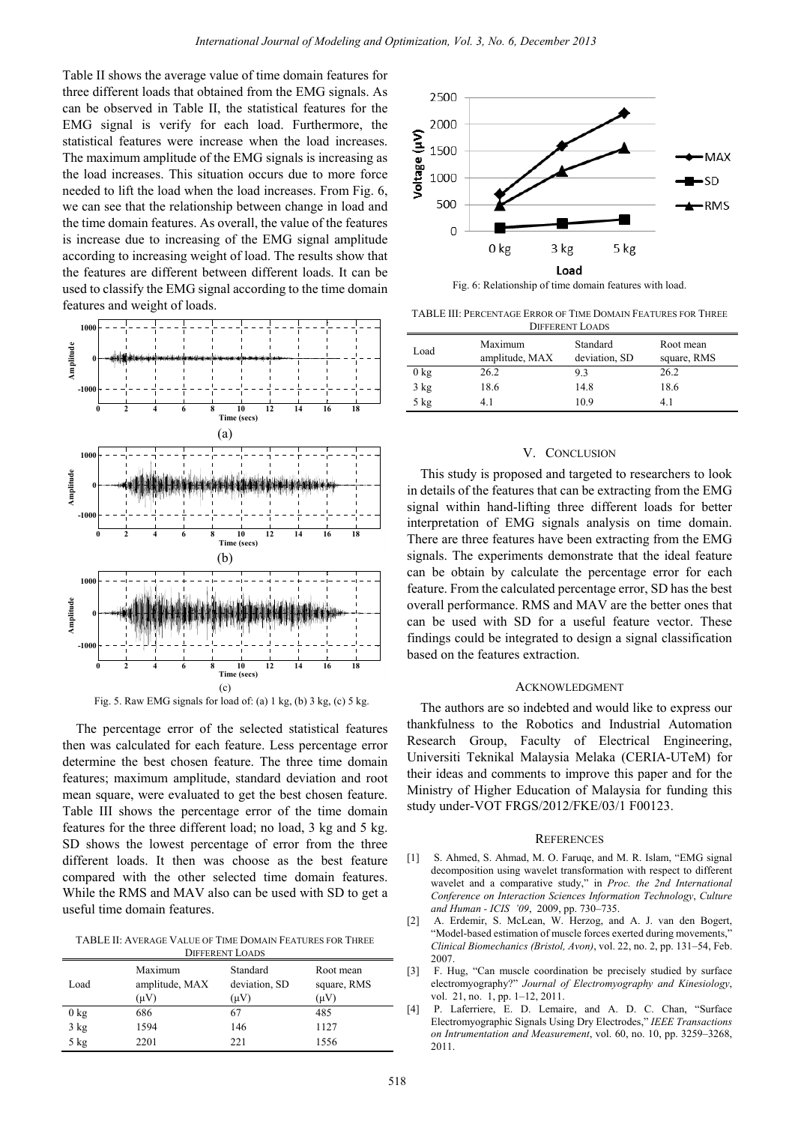Table II shows the average value of time domain features for three different loads that obtained from the EMG signals. As can be observed in Table II, the statistical features for the EMG signal is verify for each load. Furthermore, the statistical features were increase when the load increases. The maximum amplitude of the EMG signals is increasing as the load increases. This situation occurs due to more force needed to lift the load when the load increases. From Fig. 6, we can see that the relationship between change in load and the time domain features. As overall, the value of the features is increase due to increasing of the EMG signal amplitude according to increasing weight of load. The results show that the features are different between different loads. It can be used to classify the EMG signal according to the time domain features and weight of loads.



The percentage error of the selected statistical features then was calculated for each feature. Less percentage error determine the best chosen feature. The three time domain features; maximum amplitude, standard deviation and root mean square, were evaluated to get the best chosen feature. Table III shows the percentage error of the time domain features for the three different load; no load, 3 kg and 5 kg. SD shows the lowest percentage of error from the three different loads. It then was choose as the best feature compared with the other selected time domain features. While the RMS and MAV also can be used with SD to get a useful time domain features.

TABLE II: AVERAGE VALUE OF TIME DOMAIN FEATURES FOR THREE DIFFERENT LOADS

| DIFFERENT LOADS |                                   |                                        |                                       |  |  |
|-----------------|-----------------------------------|----------------------------------------|---------------------------------------|--|--|
| Load            | Maximum<br>amplitude, MAX<br>(µV) | Standard<br>deviation, SD<br>$(\mu V)$ | Root mean<br>square, RMS<br>$(\mu V)$ |  |  |
| $0$ kg          | 686                               | 67                                     | 485                                   |  |  |
| $3$ kg          | 1594                              | 146                                    | 1127                                  |  |  |
| $5$ kg          | 2201                              | 221                                    | 1556                                  |  |  |



Fig. 6: Relationship of time domain features with load.

TABLE III: PERCENTAGE ERROR OF TIME DOMAIN FEATURES FOR THREE

| <b>DIFFERENT LOADS</b> |                           |                           |                          |  |  |
|------------------------|---------------------------|---------------------------|--------------------------|--|--|
| Load                   | Maximum<br>amplitude, MAX | Standard<br>deviation, SD | Root mean<br>square, RMS |  |  |
| $0$ kg                 | 26.2                      | 9.3                       | 26.2                     |  |  |
| $3$ kg                 | 18.6                      | 14.8                      | 18.6                     |  |  |
| $5$ kg                 | 41                        | 10.9                      | 4.1                      |  |  |

#### V. CONCLUSION

This study is proposed and targeted to researchers to look in details of the features that can be extracting from the EMG signal within hand-lifting three different loads for better interpretation of EMG signals analysis on time domain. There are three features have been extracting from the EMG signals. The experiments demonstrate that the ideal feature can be obtain by calculate the percentage error for each feature. From the calculated percentage error, SD has the best overall performance. RMS and MAV are the better ones that can be used with SD for a useful feature vector. These findings could be integrated to design a signal classification based on the features extraction.

#### ACKNOWLEDGMENT

The authors are so indebted and would like to express our thankfulness to the Robotics and Industrial Automation Research Group, Faculty of Electrical Engineering, Universiti Teknikal Malaysia Melaka (CERIA-UTeM) for their ideas and comments to improve this paper and for the Ministry of Higher Education of Malaysia for funding this study under-VOT FRGS/2012/FKE/03/1 F00123.

#### **REFERENCES**

- [1] S. Ahmed, S. Ahmad, M. O. Faruqe, and M. R. Islam, "EMG signal decomposition using wavelet transformation with respect to different wavelet and a comparative study," in *Proc. the 2nd International Conference on Interaction Sciences Information Technology*, *Culture and Human - ICIS '09*, 2009, pp. 730–735.
- [2] A. Erdemir, S. McLean, W. Herzog, and A. J. van den Bogert, "Model-based estimation of muscle forces exerted during movements," *Clinical Biomechanics (Bristol, Avon)*, vol. 22, no. 2, pp. 131–54, Feb. 2007.
- [3] F. Hug, "Can muscle coordination be precisely studied by surface electromyography?" *Journal of Electromyography and Kinesiology*, vol. 21, no. 1, pp. 1-12, 2011.
- [4] P. Laferriere, E. D. Lemaire, and A. D. C. Chan, "Surface Electromyographic Signals Using Dry Electrodes," *IEEE Transactions on Intrumentation and Measurement*, vol. 60, no. 10, pp. 3259–3268, 2011.